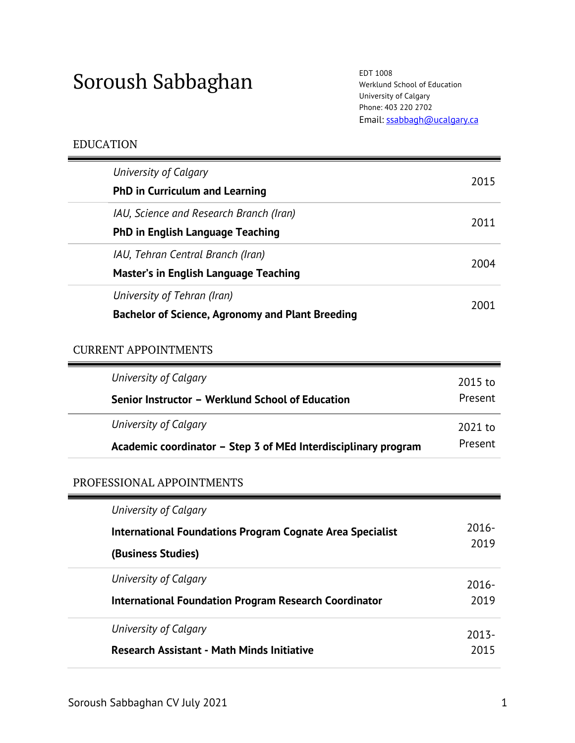# Soroush Sabbaghan EDT 1008

Werklund School of Education University of Calgary Phone: 403 220 2702 Email: ssabbagh@ucalgary.ca

# EDUCATION

|  | University of Calgary                                   |      |
|--|---------------------------------------------------------|------|
|  | <b>PhD in Curriculum and Learning</b>                   | 2015 |
|  | IAU, Science and Research Branch (Iran)                 | 2011 |
|  | <b>PhD in English Language Teaching</b>                 |      |
|  | IAU, Tehran Central Branch (Iran)                       | 2004 |
|  | <b>Master's in English Language Teaching</b>            |      |
|  | University of Tehran (Iran)                             | 2001 |
|  | <b>Bachelor of Science, Agronomy and Plant Breeding</b> |      |

# CURRENT APPOINTMENTS

| University of Calgary                                          | 2015 to |
|----------------------------------------------------------------|---------|
| Senior Instructor - Werklund School of Education               | Present |
| University of Calgary                                          | 2021 to |
| Academic coordinator – Step 3 of MEd Interdisciplinary program | Present |

# PROFESSIONAL APPOINTMENTS

| 2016- |
|-------|
| 2019  |
| 2016- |
| 2019  |
| 2013- |
| 2015  |
|       |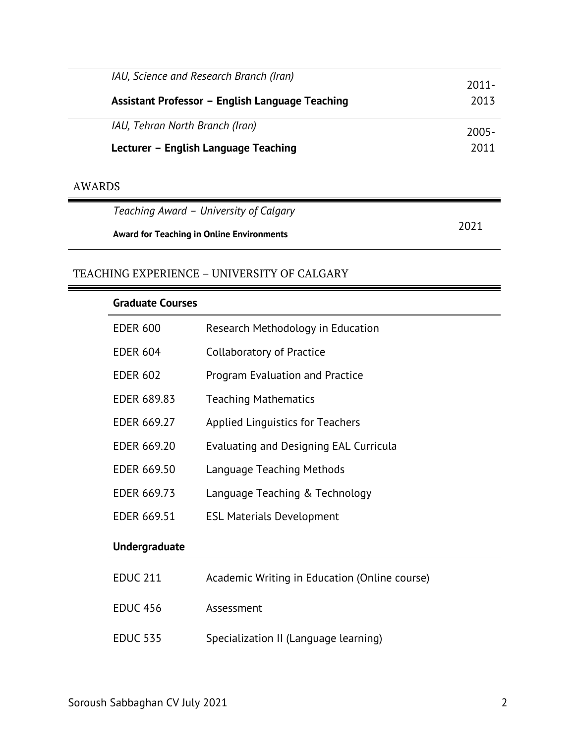| IAU, Science and Research Branch (Iran)          | $2011 -$ |
|--------------------------------------------------|----------|
| Assistant Professor - English Language Teaching  | 2013     |
| IAU, Tehran North Branch (Iran)                  | $2005 -$ |
| Lecturer - English Language Teaching             | 2011     |
| <b>AWARDS</b>                                    |          |
| Teaching Award - University of Calgary           |          |
| <b>Award for Teaching in Online Environments</b> | 2021     |

# TEACHING EXPERIENCE – UNIVERSITY OF CALGARY

| <b>Graduate Courses</b> |                                               |
|-------------------------|-----------------------------------------------|
| <b>EDER 600</b>         | Research Methodology in Education             |
| <b>EDER 604</b>         | <b>Collaboratory of Practice</b>              |
| <b>EDER 602</b>         | Program Evaluation and Practice               |
| EDER 689.83             | <b>Teaching Mathematics</b>                   |
| EDER 669.27             | <b>Applied Linguistics for Teachers</b>       |
| EDER 669.20             | <b>Evaluating and Designing EAL Curricula</b> |
| <b>EDER 669.50</b>      | Language Teaching Methods                     |
| EDER 669.73             | Language Teaching & Technology                |
| <b>EDER 669.51</b>      | <b>ESL Materials Development</b>              |
| <b>Undergraduate</b>    |                                               |
| <b>EDUC 211</b>         | Academic Writing in Education (Online course) |
| <b>EDUC 456</b>         | Assessment                                    |
| <b>EDUC 535</b>         | Specialization II (Language learning)         |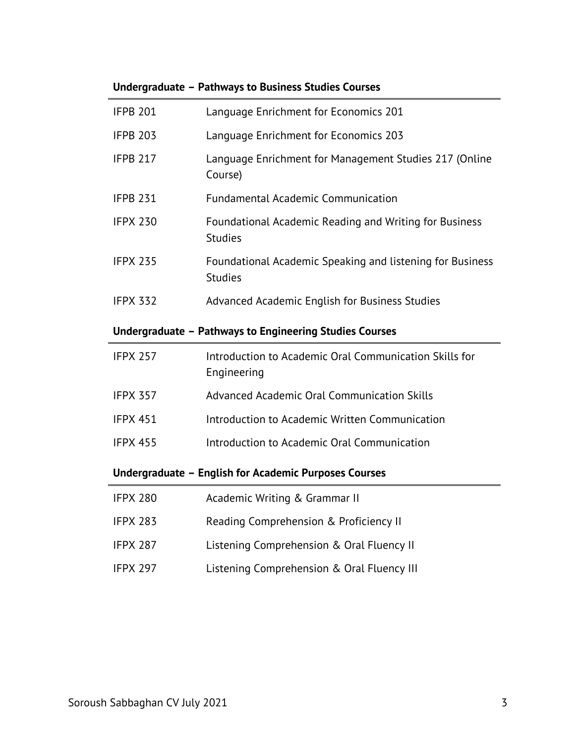| <b>IFPB 201</b>                                         | Language Enrichment for Economics 201                                       |  |  |
|---------------------------------------------------------|-----------------------------------------------------------------------------|--|--|
| <b>IFPB 203</b>                                         | Language Enrichment for Economics 203                                       |  |  |
| <b>IFPB 217</b>                                         | Language Enrichment for Management Studies 217 (Online<br>Course)           |  |  |
| <b>IFPB 231</b>                                         | <b>Fundamental Academic Communication</b>                                   |  |  |
| <b>IFPX 230</b>                                         | Foundational Academic Reading and Writing for Business<br><b>Studies</b>    |  |  |
| <b>IFPX 235</b>                                         | Foundational Academic Speaking and listening for Business<br><b>Studies</b> |  |  |
| <b>IFPX 332</b>                                         | Advanced Academic English for Business Studies                              |  |  |
| Undergraduate - Pathways to Engineering Studies Courses |                                                                             |  |  |
| <b>IFPX 257</b>                                         | Introduction to Academic Oral Communication Skills for<br>Engineering       |  |  |
| <b>IFPX 357</b>                                         | Advanced Academic Oral Communication Skills                                 |  |  |
| <b>IFPX 451</b>                                         | Introduction to Academic Written Communication                              |  |  |
| <b>IFPX 455</b>                                         | Introduction to Academic Oral Communication                                 |  |  |
| Undergraduate - English for Academic Purposes Courses   |                                                                             |  |  |

# **Undergraduate – Pathways to Business Studies Courses**

| <b>IFPX 280</b> | Academic Writing & Grammar II |  |
|-----------------|-------------------------------|--|
|-----------------|-------------------------------|--|

- IFPX 283 Reading Comprehension & Proficiency II
- IFPX 287 Listening Comprehension & Oral Fluency II
- IFPX 297 Listening Comprehension & Oral Fluency III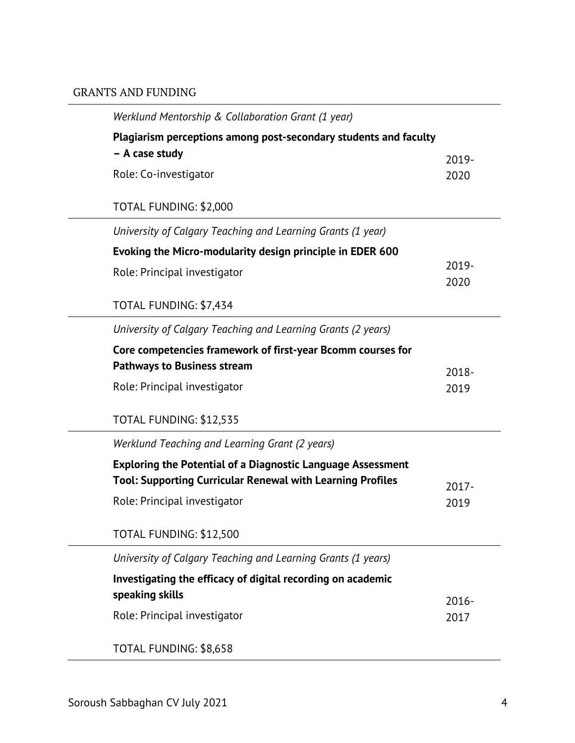# GRANTS AND FUNDING

| Werklund Mentorship & Collaboration Grant (1 year)                                                                                      |               |
|-----------------------------------------------------------------------------------------------------------------------------------------|---------------|
| Plagiarism perceptions among post-secondary students and faculty<br>- A case study                                                      | 2019-         |
| Role: Co-investigator                                                                                                                   | 2020          |
| TOTAL FUNDING: \$2,000                                                                                                                  |               |
| University of Calgary Teaching and Learning Grants (1 year)                                                                             |               |
| Evoking the Micro-modularity design principle in EDER 600                                                                               |               |
| Role: Principal investigator                                                                                                            | 2019-<br>2020 |
| TOTAL FUNDING: \$7,434                                                                                                                  |               |
| University of Calgary Teaching and Learning Grants (2 years)                                                                            |               |
| Core competencies framework of first-year Bcomm courses for<br><b>Pathways to Business stream</b>                                       | $2018 -$      |
| Role: Principal investigator                                                                                                            | 2019          |
| TOTAL FUNDING: \$12,535                                                                                                                 |               |
| Werklund Teaching and Learning Grant (2 years)                                                                                          |               |
| <b>Exploring the Potential of a Diagnostic Language Assessment</b><br><b>Tool: Supporting Curricular Renewal with Learning Profiles</b> | $2017 -$      |
| Role: Principal investigator                                                                                                            | 2019          |
| TOTAL FUNDING: \$12,500                                                                                                                 |               |
| University of Calgary Teaching and Learning Grants (1 years)                                                                            |               |
| Investigating the efficacy of digital recording on academic                                                                             |               |
| speaking skills                                                                                                                         | $2016 -$      |
| Role: Principal investigator                                                                                                            | 2017          |
| TOTAL FUNDING: \$8,658                                                                                                                  |               |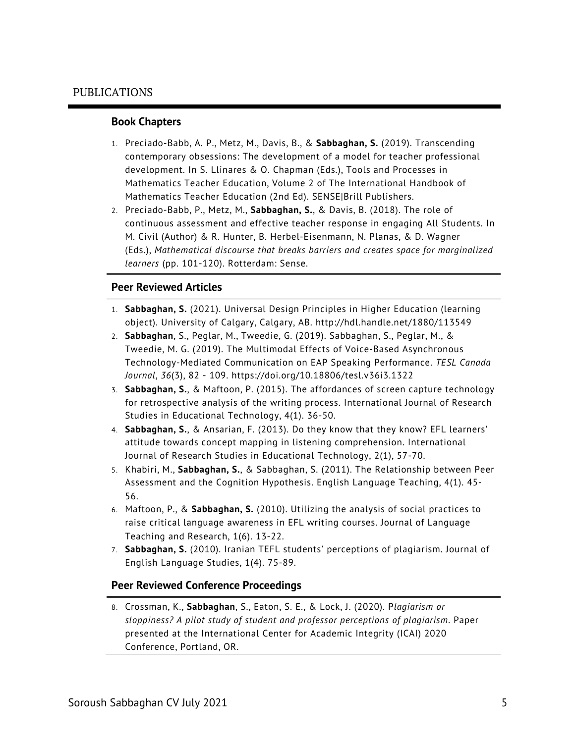#### **Book Chapters**

- 1. Preciado-Babb, A. P., Metz, M., Davis, B., & **Sabbaghan, S.** (2019). Transcending contemporary obsessions: The development of a model for teacher professional development. In S. Llinares & O. Chapman (Eds.), Tools and Processes in Mathematics Teacher Education, Volume 2 of The International Handbook of Mathematics Teacher Education (2nd Ed). SENSE|Brill Publishers.
- 2. Preciado-Babb, P., Metz, M., **Sabbaghan, S.**, & Davis, B. (2018). The role of continuous assessment and effective teacher response in engaging All Students. In M. Civil (Author) & R. Hunter, B. Herbel-Eisenmann, N. Planas, & D. Wagner (Eds.), *Mathematical discourse that breaks barriers and creates space for marginalized learners* (pp. 101-120). Rotterdam: Sense.

#### **Peer Reviewed Articles**

- 1. **Sabbaghan, S.** (2021). Universal Design Principles in Higher Education (learning object). University of Calgary, Calgary, AB. http://hdl.handle.net/1880/113549
- 2. **Sabbaghan**, S., Peglar, M., Tweedie, G. (2019). Sabbaghan, S., Peglar, M., & Tweedie, M. G. (2019). The Multimodal Effects of Voice-Based Asynchronous Technology-Mediated Communication on EAP Speaking Performance. *TESL Canada Journal*, *36*(3), 82 - 109. https://doi.org/10.18806/tesl.v36i3.1322
- 3. **Sabbaghan, S.**, & Maftoon, P. (2015). The affordances of screen capture technology for retrospective analysis of the writing process. International Journal of Research Studies in Educational Technology, 4(1). 36-50.
- 4. **Sabbaghan, S.**, & Ansarian, F. (2013). Do they know that they know? EFL learners' attitude towards concept mapping in listening comprehension. International Journal of Research Studies in Educational Technology, 2(1), 57-70.
- 5. Khabiri, M., **Sabbaghan, S.**, & Sabbaghan, S. (2011). The Relationship between Peer Assessment and the Cognition Hypothesis. English Language Teaching, 4(1). 45- 56.
- 6. Maftoon, P., & **Sabbaghan, S.** (2010). Utilizing the analysis of social practices to raise critical language awareness in EFL writing courses. Journal of Language Teaching and Research, 1(6). 13-22.
- 7. **Sabbaghan, S.** (2010). Iranian TEFL students' perceptions of plagiarism. Journal of English Language Studies, 1(4). 75-89.

#### **Peer Reviewed Conference Proceedings**

8. Crossman, K., **Sabbaghan**, S., Eaton, S. E., & Lock, J. (2020). P*lagiarism or sloppiness? A pilot study of student and professor perceptions of plagiarism*. Paper presented at the International Center for Academic Integrity (ICAI) 2020 Conference, Portland, OR.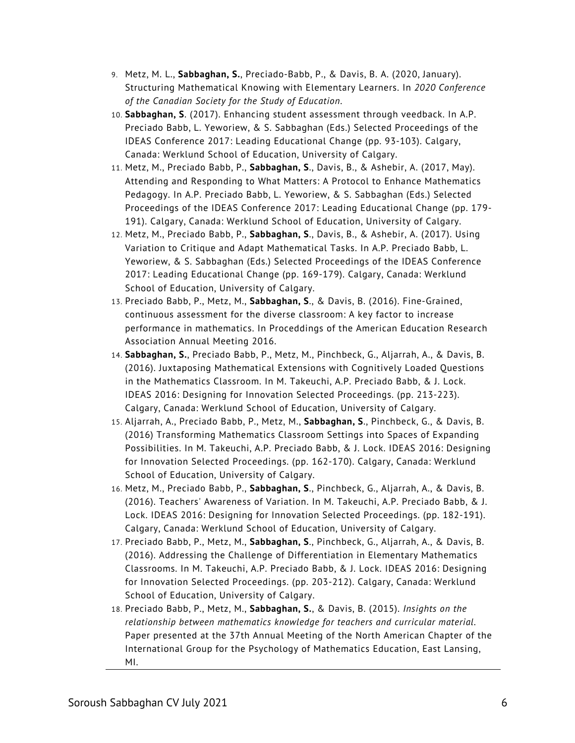- 9. Metz, M. L., **Sabbaghan, S.**, Preciado-Babb, P., & Davis, B. A. (2020, January). Structuring Mathematical Knowing with Elementary Learners. In *2020 Conference of the Canadian Society for the Study of Education*.
- 10. **Sabbaghan, S**. (2017). Enhancing student assessment through veedback. In A.P. Preciado Babb, L. Yeworiew, & S. Sabbaghan (Eds.) Selected Proceedings of the IDEAS Conference 2017: Leading Educational Change (pp. 93-103). Calgary, Canada: Werklund School of Education, University of Calgary.
- 11. Metz, M., Preciado Babb, P., **Sabbaghan, S**., Davis, B., & Ashebir, A. (2017, May). Attending and Responding to What Matters: A Protocol to Enhance Mathematics Pedagogy. In A.P. Preciado Babb, L. Yeworiew, & S. Sabbaghan (Eds.) Selected Proceedings of the IDEAS Conference 2017: Leading Educational Change (pp. 179- 191). Calgary, Canada: Werklund School of Education, University of Calgary.
- 12. Metz, M., Preciado Babb, P., **Sabbaghan, S**., Davis, B., & Ashebir, A. (2017). Using Variation to Critique and Adapt Mathematical Tasks. In A.P. Preciado Babb, L. Yeworiew, & S. Sabbaghan (Eds.) Selected Proceedings of the IDEAS Conference 2017: Leading Educational Change (pp. 169-179). Calgary, Canada: Werklund School of Education, University of Calgary.
- 13. Preciado Babb, P., Metz, M., **Sabbaghan, S**., & Davis, B. (2016). Fine-Grained, continuous assessment for the diverse classroom: A key factor to increase performance in mathematics. In Proceddings of the American Education Research Association Annual Meeting 2016.
- 14. **Sabbaghan, S.**, Preciado Babb, P., Metz, M., Pinchbeck, G., Aljarrah, A., & Davis, B. (2016). Juxtaposing Mathematical Extensions with Cognitively Loaded Questions in the Mathematics Classroom. In M. Takeuchi, A.P. Preciado Babb, & J. Lock. IDEAS 2016: Designing for Innovation Selected Proceedings. (pp. 213-223). Calgary, Canada: Werklund School of Education, University of Calgary.
- 15. Aljarrah, A., Preciado Babb, P., Metz, M., **Sabbaghan, S**., Pinchbeck, G., & Davis, B. (2016) Transforming Mathematics Classroom Settings into Spaces of Expanding Possibilities. In M. Takeuchi, A.P. Preciado Babb, & J. Lock. IDEAS 2016: Designing for Innovation Selected Proceedings. (pp. 162-170). Calgary, Canada: Werklund School of Education, University of Calgary.
- 16. Metz, M., Preciado Babb, P., **Sabbaghan, S**., Pinchbeck, G., Aljarrah, A., & Davis, B. (2016). Teachers' Awareness of Variation. In M. Takeuchi, A.P. Preciado Babb, & J. Lock. IDEAS 2016: Designing for Innovation Selected Proceedings. (pp. 182-191). Calgary, Canada: Werklund School of Education, University of Calgary.
- 17. Preciado Babb, P., Metz, M., **Sabbaghan, S**., Pinchbeck, G., Aljarrah, A., & Davis, B. (2016). Addressing the Challenge of Differentiation in Elementary Mathematics Classrooms. In M. Takeuchi, A.P. Preciado Babb, & J. Lock. IDEAS 2016: Designing for Innovation Selected Proceedings. (pp. 203-212). Calgary, Canada: Werklund School of Education, University of Calgary.
- 18. Preciado Babb, P., Metz, M., **Sabbaghan, S.**, & Davis, B. (2015). *Insights on the relationship between mathematics knowledge for teachers and curricular material.* Paper presented at the 37th Annual Meeting of the North American Chapter of the International Group for the Psychology of Mathematics Education, East Lansing, MI.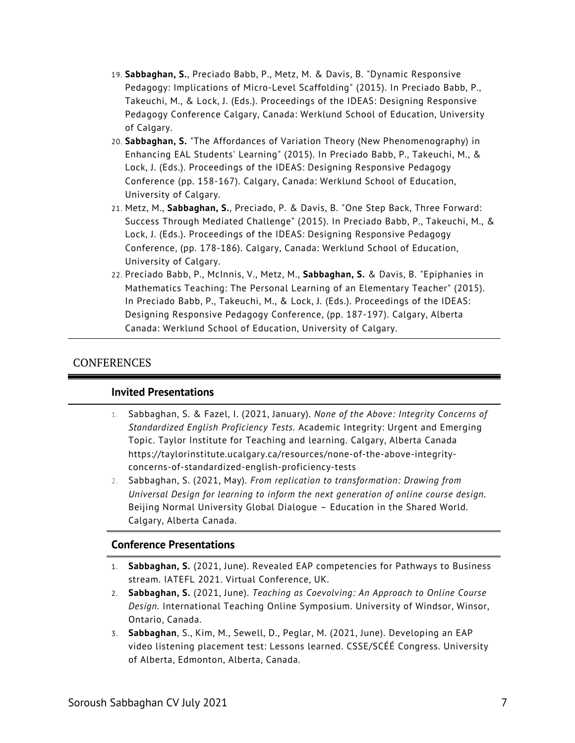- 19. **Sabbaghan, S.**, Preciado Babb, P., Metz, M. & Davis, B. "Dynamic Responsive Pedagogy: Implications of Micro-Level Scaffolding" (2015). In Preciado Babb, P., Takeuchi, M., & Lock, J. (Eds.). Proceedings of the IDEAS: Designing Responsive Pedagogy Conference Calgary, Canada: Werklund School of Education, University of Calgary.
- 20. **Sabbaghan, S.** "The Affordances of Variation Theory (New Phenomenography) in Enhancing EAL Students' Learning" (2015). In Preciado Babb, P., Takeuchi, M., & Lock, J. (Eds.). Proceedings of the IDEAS: Designing Responsive Pedagogy Conference (pp. 158-167). Calgary, Canada: Werklund School of Education, University of Calgary.
- 21. Metz, M., **Sabbaghan, S.**, Preciado, P. & Davis, B. "One Step Back, Three Forward: Success Through Mediated Challenge" (2015). In Preciado Babb, P., Takeuchi, M., & Lock, J. (Eds.). Proceedings of the IDEAS: Designing Responsive Pedagogy Conference, (pp. 178-186). Calgary, Canada: Werklund School of Education, University of Calgary.
- 22. Preciado Babb, P., McInnis, V., Metz, M., **Sabbaghan, S.** & Davis, B. "Epiphanies in Mathematics Teaching: The Personal Learning of an Elementary Teacher" (2015). In Preciado Babb, P., Takeuchi, M., & Lock, J. (Eds.). Proceedings of the IDEAS: Designing Responsive Pedagogy Conference, (pp. 187-197). Calgary, Alberta Canada: Werklund School of Education, University of Calgary.

## CONFERENCES

#### **Invited Presentations**

- 1. Sabbaghan, S. & Fazel, I. (2021, January). *None of the Above: Integrity Concerns of Standardized English Proficiency Tests.* Academic Integrity: Urgent and Emerging Topic. Taylor Institute for Teaching and learning. Calgary, Alberta Canada https://taylorinstitute.ucalgary.ca/resources/none-of-the-above-integrityconcerns-of-standardized-english-proficiency-tests
- 2. Sabbaghan, S. (2021, May). *From replication to transformation: Drawing from Universal Design for learning to inform the next generation of online course design*. Beijing Normal University Global Dialogue – Education in the Shared World. Calgary, Alberta Canada.

#### **Conference Presentations**

- 1. **Sabbaghan, S.** (2021, June). Revealed EAP competencies for Pathways to Business stream. IATEFL 2021. Virtual Conference, UK.
- 2. **Sabbaghan, S.** (2021, June). *Teaching as Coevolving: An Approach to Online Course Design.* International Teaching Online Symposium. University of Windsor, Winsor, Ontario, Canada.
- 3. **Sabbaghan**, S., Kim, M., Sewell, D., Peglar, M. (2021, June). Developing an EAP video listening placement test: Lessons learned. CSSE/SCÉÉ Congress. University of Alberta, Edmonton, Alberta, Canada.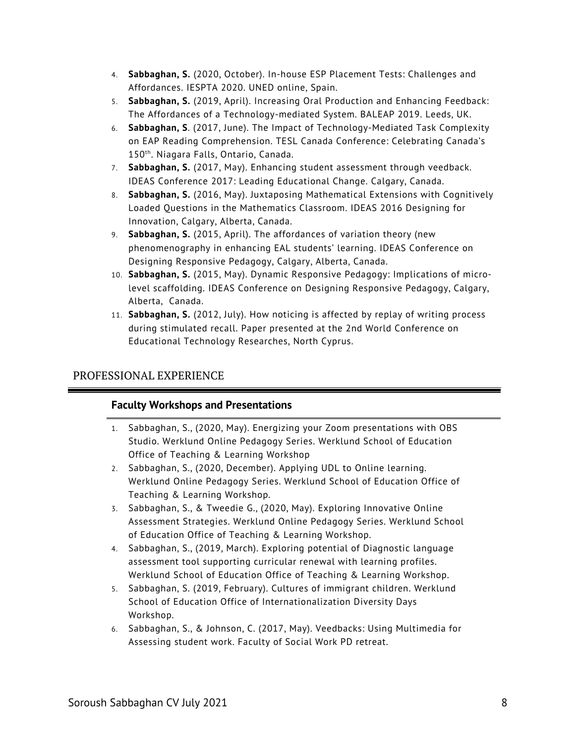- 4. **Sabbaghan, S.** (2020, October). In-house ESP Placement Tests: Challenges and Affordances. IESPTA 2020. UNED online, Spain.
- 5. **Sabbaghan, S.** (2019, April). Increasing Oral Production and Enhancing Feedback: The Affordances of a Technology-mediated System. BALEAP 2019. Leeds, UK.
- 6. **Sabbaghan, S**. (2017, June). The Impact of Technology-Mediated Task Complexity on EAP Reading Comprehension. TESL Canada Conference: Celebrating Canada's 150th. Niagara Falls, Ontario, Canada.
- 7. **Sabbaghan, S.** (2017, May). Enhancing student assessment through veedback. IDEAS Conference 2017: Leading Educational Change. Calgary, Canada.
- 8. **Sabbaghan, S.** (2016, May). Juxtaposing Mathematical Extensions with Cognitively Loaded Questions in the Mathematics Classroom. IDEAS 2016 Designing for Innovation, Calgary, Alberta, Canada.
- 9. **Sabbaghan, S.** (2015, April). The affordances of variation theory (new phenomenography in enhancing EAL students' learning. IDEAS Conference on Designing Responsive Pedagogy, Calgary, Alberta, Canada.
- 10. **Sabbaghan, S.** (2015, May). Dynamic Responsive Pedagogy: Implications of microlevel scaffolding. IDEAS Conference on Designing Responsive Pedagogy, Calgary, Alberta, Canada.
- 11. **Sabbaghan, S.** (2012, July). How noticing is affected by replay of writing process during stimulated recall. Paper presented at the 2nd World Conference on Educational Technology Researches, North Cyprus.

## PROFESSIONAL EXPERIENCE

## **Faculty Workshops and Presentations**

- 1. Sabbaghan, S., (2020, May). Energizing your Zoom presentations with OBS Studio. Werklund Online Pedagogy Series. Werklund School of Education Office of Teaching & Learning Workshop
- 2. Sabbaghan, S., (2020, December). Applying UDL to Online learning. Werklund Online Pedagogy Series. Werklund School of Education Office of Teaching & Learning Workshop.
- 3. Sabbaghan, S., & Tweedie G., (2020, May). Exploring Innovative Online Assessment Strategies. Werklund Online Pedagogy Series. Werklund School of Education Office of Teaching & Learning Workshop.
- 4. Sabbaghan, S., (2019, March). Exploring potential of Diagnostic language assessment tool supporting curricular renewal with learning profiles. Werklund School of Education Office of Teaching & Learning Workshop.
- 5. Sabbaghan, S. (2019, February). Cultures of immigrant children. Werklund School of Education Office of Internationalization Diversity Days Workshop.
- 6. Sabbaghan, S., & Johnson, C. (2017, May). Veedbacks: Using Multimedia for Assessing student work. Faculty of Social Work PD retreat.